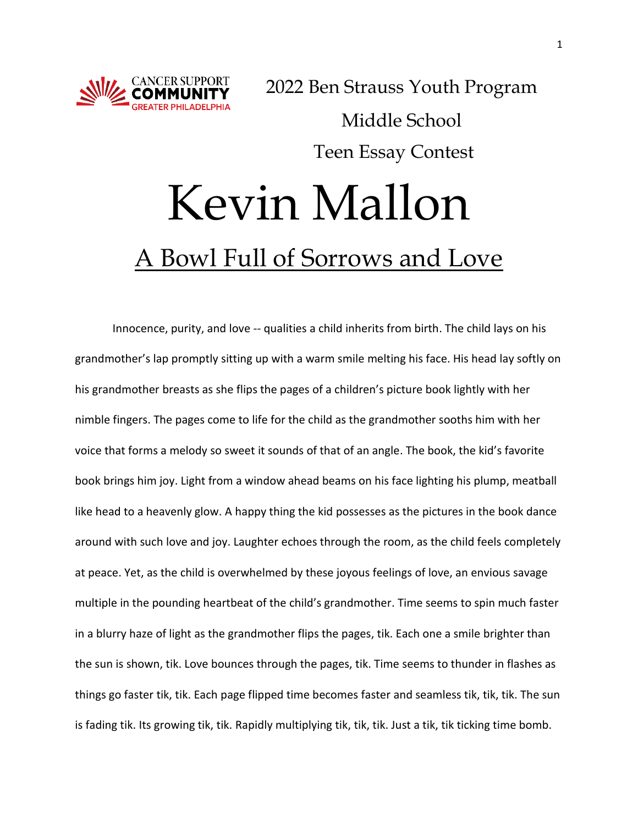

2022 Ben Strauss Youth Program Middle School Teen Essay Contest

## Kevin Mallon A Bowl Full of Sorrows and Love

Innocence, purity, and love -- qualities a child inherits from birth. The child lays on his grandmother's lap promptly sitting up with a warm smile melting his face. His head lay softly on his grandmother breasts as she flips the pages of a children's picture book lightly with her nimble fingers. The pages come to life for the child as the grandmother sooths him with her voice that forms a melody so sweet it sounds of that of an angle. The book, the kid's favorite book brings him joy. Light from a window ahead beams on his face lighting his plump, meatball like head to a heavenly glow. A happy thing the kid possesses as the pictures in the book dance around with such love and joy. Laughter echoes through the room, as the child feels completely at peace. Yet, as the child is overwhelmed by these joyous feelings of love, an envious savage multiple in the pounding heartbeat of the child's grandmother. Time seems to spin much faster in a blurry haze of light as the grandmother flips the pages, tik. Each one a smile brighter than the sun is shown, tik. Love bounces through the pages, tik. Time seems to thunder in flashes as things go faster tik, tik. Each page flipped time becomes faster and seamless tik, tik, tik. The sun is fading tik. Its growing tik, tik. Rapidly multiplying tik, tik, tik. Just a tik, tik ticking time bomb.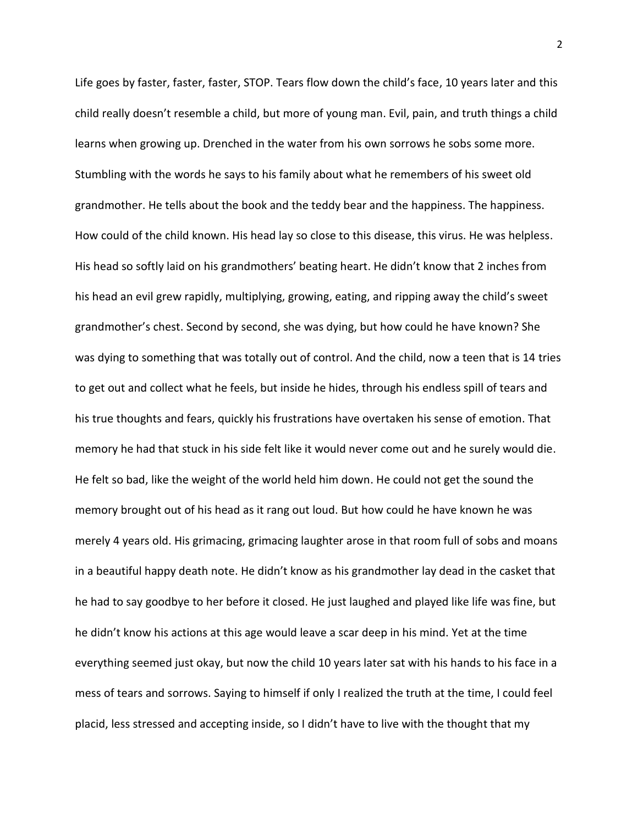Life goes by faster, faster, faster, STOP. Tears flow down the child's face, 10 years later and this child really doesn't resemble a child, but more of young man. Evil, pain, and truth things a child learns when growing up. Drenched in the water from his own sorrows he sobs some more. Stumbling with the words he says to his family about what he remembers of his sweet old grandmother. He tells about the book and the teddy bear and the happiness. The happiness. How could of the child known. His head lay so close to this disease, this virus. He was helpless. His head so softly laid on his grandmothers' beating heart. He didn't know that 2 inches from his head an evil grew rapidly, multiplying, growing, eating, and ripping away the child's sweet grandmother's chest. Second by second, she was dying, but how could he have known? She was dying to something that was totally out of control. And the child, now a teen that is 14 tries to get out and collect what he feels, but inside he hides, through his endless spill of tears and his true thoughts and fears, quickly his frustrations have overtaken his sense of emotion. That memory he had that stuck in his side felt like it would never come out and he surely would die. He felt so bad, like the weight of the world held him down. He could not get the sound the memory brought out of his head as it rang out loud. But how could he have known he was merely 4 years old. His grimacing, grimacing laughter arose in that room full of sobs and moans in a beautiful happy death note. He didn't know as his grandmother lay dead in the casket that he had to say goodbye to her before it closed. He just laughed and played like life was fine, but he didn't know his actions at this age would leave a scar deep in his mind. Yet at the time everything seemed just okay, but now the child 10 years later sat with his hands to his face in a mess of tears and sorrows. Saying to himself if only I realized the truth at the time, I could feel placid, less stressed and accepting inside, so I didn't have to live with the thought that my